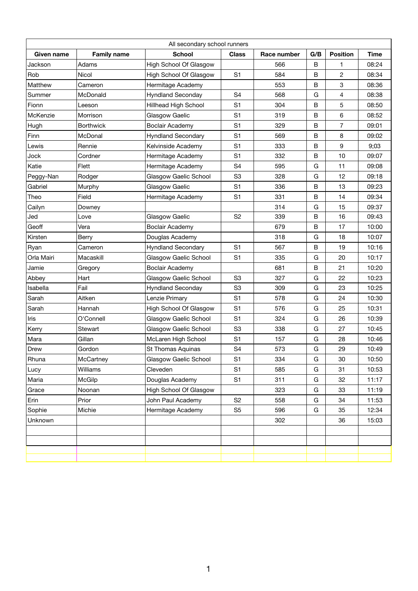| All secondary school runners |                    |                               |                |             |     |                 |             |
|------------------------------|--------------------|-------------------------------|----------------|-------------|-----|-----------------|-------------|
| <b>Given name</b>            | <b>Family name</b> | <b>School</b>                 | <b>Class</b>   | Race number | G/B | <b>Position</b> | <b>Time</b> |
| Jackson                      | Adams              | <b>High School Of Glasgow</b> |                | 566         | B   | 1               | 08:24       |
| Rob                          | <b>Nicol</b>       | <b>High School Of Glasgow</b> | S <sub>1</sub> | 584         | B   | $\overline{2}$  | 08:34       |
| Matthew                      | Cameron            | Hermitage Academy             |                | 553         | B   | 3               | 08:36       |
| Summer                       | McDonald           | <b>Hyndland Seconday</b>      | S <sub>4</sub> | 568         | G   | 4               | 08:38       |
| Fionn                        | Leeson             | <b>Hillhead High School</b>   | S <sub>1</sub> | 304         | B   | 5               | 08:50       |
| McKenzie                     | Morrison           | Glasgow Gaelic                | S <sub>1</sub> | 319         | B   | 6               | 08:52       |
| Hugh                         | <b>Borthwick</b>   | <b>Boclair Academy</b>        | S <sub>1</sub> | 329         | B   | $\overline{7}$  | 09:01       |
| Finn                         | McDonal            | <b>Hyndland Secondary</b>     | S <sub>1</sub> | 569         | B   | 8               | 09:02       |
| Lewis                        | Rennie             | Kelvinside Academy            | S <sub>1</sub> | 333         | B   | 9               | 9;03        |
| Jock                         | Cordner            | Hermitage Academy             | S <sub>1</sub> | 332         | B   | 10              | 09:07       |
| Katie                        | Flett              | Hermitage Academy             | S <sub>4</sub> | 595         | G   | 11              | 09:08       |
| Peggy-Nan                    | Rodger             | <b>Glasgow Gaelic School</b>  | S <sub>3</sub> | 328         | G   | 12              | 09:18       |
| Gabriel                      | Murphy             | Glasgow Gaelic                | S <sub>1</sub> | 336         | B   | 13              | 09:23       |
| Theo                         | Field              | Hermitage Academy             | S <sub>1</sub> | 331         | B   | 14              | 09:34       |
| Cailyn                       | Downey             |                               |                | 314         | G   | 15              | 09:37       |
| Jed                          | Love               | Glasgow Gaelic                | S <sub>2</sub> | 339         | B   | 16              | 09:43       |
| Geoff                        | Vera               | <b>Boclair Academy</b>        |                | 679         | B   | 17              | 10:00       |
| Kirsten                      | <b>Berry</b>       | Douglas Academy               |                | 318         | G   | 18              | 10:07       |
| Ryan                         | Cameron            | <b>Hyndland Secondary</b>     | S <sub>1</sub> | 567         | B   | 19              | 10:16       |
| Orla Mairi                   | Macaskill          | <b>Glasgow Gaelic School</b>  | S <sub>1</sub> | 335         | G   | 20              | 10:17       |
| Jamie                        | Gregory            | <b>Boclair Academy</b>        |                | 681         | B   | 21              | 10:20       |
| Abbey                        | Hart               | <b>Glasgow Gaelic School</b>  | S <sub>3</sub> | 327         | G   | 22              | 10:23       |
| Isabella                     | Fail               | <b>Hyndland Seconday</b>      | S <sub>3</sub> | 309         | G   | 23              | 10:25       |
| Sarah                        | Aitken             | Lenzie Primary                | S <sub>1</sub> | 578         | G   | 24              | 10:30       |
| Sarah                        | Hannah             | <b>High School Of Glasgow</b> | S <sub>1</sub> | 576         | G   | 25              | 10:31       |
| Iris                         | O'Connell          | <b>Glasgow Gaelic School</b>  | S <sub>1</sub> | 324         | G   | 26              | 10:39       |
| Kerry                        | <b>Stewart</b>     | <b>Glasgow Gaelic School</b>  | S <sub>3</sub> | 338         | G   | 27              | 10:45       |
| Mara                         | Gillan             | McLaren High School           | S <sub>1</sub> | 157         | G   | 28              | 10:46       |
| <b>Drew</b>                  | Gordon             | St Thomas Aquinas             | S <sub>4</sub> | 573         | G   | 29              | 10:49       |
| Rhuna                        | McCartney          | <b>Glasgow Gaelic School</b>  | S <sub>1</sub> | 334         | G   | 30              | 10:50       |
| Lucy                         | Williams           | Cleveden                      | S <sub>1</sub> | 585         | G   | 31              | 10:53       |
| Maria                        | <b>McGilp</b>      | Douglas Academy               | S <sub>1</sub> | 311         | G   | 32              | 11:17       |
| Grace                        | Noonan             | <b>High School Of Glasgow</b> |                | 323         | G   | 33              | 11:19       |
| Erin                         | Prior              | John Paul Academy             | S <sub>2</sub> | 558         | G   | 34              | 11:53       |
| Sophie                       | Michie             | Hermitage Academy             | S <sub>5</sub> | 596         | G   | 35              | 12:34       |
| Unknown                      |                    |                               |                | 302         |     | 36              | 15:03       |
|                              |                    |                               |                |             |     |                 |             |
|                              |                    |                               |                |             |     |                 |             |
|                              |                    |                               |                |             |     |                 |             |
|                              |                    |                               |                |             |     |                 |             |

|  | ,我们就会在这里,我们就会在这里,我们就会在这里,我们就会在这里,我们就会在这里,我们就会在这里,我们就会在这里,我们就会在这里,我们就会在这里,我们就会在这里 |  |  |  |
|--|----------------------------------------------------------------------------------|--|--|--|
|  |                                                                                  |  |  |  |
|  |                                                                                  |  |  |  |

1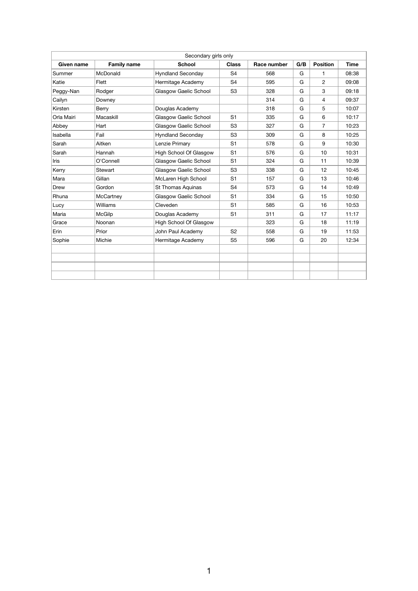| Secondary girls only |                    |                               |                |             |     |                 |             |  |
|----------------------|--------------------|-------------------------------|----------------|-------------|-----|-----------------|-------------|--|
| Given name           | <b>Family name</b> | <b>School</b>                 | <b>Class</b>   | Race number | G/B | <b>Position</b> | <b>Time</b> |  |
| Summer               | <b>McDonald</b>    | <b>Hyndland Seconday</b>      | S <sub>4</sub> | 568         | G   | $\mathbf{1}$    | 08:38       |  |
| Katie                | Flett              | Hermitage Academy             | S <sub>4</sub> | 595         | G   | $\overline{2}$  | 09:08       |  |
| Peggy-Nan            | Rodger             | <b>Glasgow Gaelic School</b>  | S <sub>3</sub> | 328         | G   | 3               | 09:18       |  |
| Cailyn               | Downey             |                               |                | 314         | G   | 4               | 09:37       |  |
| Kirsten              | <b>Berry</b>       | Douglas Academy               |                | 318         | G   | 5               | 10:07       |  |
| Orla Mairi           | Macaskill          | <b>Glasgow Gaelic School</b>  | S <sub>1</sub> | 335         | G   | 6               | 10:17       |  |
| Abbey                | Hart               | <b>Glasgow Gaelic School</b>  | S <sub>3</sub> | 327         | G   | $\overline{7}$  | 10:23       |  |
| Isabella             | Fail               | <b>Hyndland Seconday</b>      | S <sub>3</sub> | 309         | G   | 8               | 10:25       |  |
| Sarah                | Aitken             | Lenzie Primary                | S <sub>1</sub> | 578         | G   | 9               | 10:30       |  |
| Sarah                | Hannah             | <b>High School Of Glasgow</b> | S <sub>1</sub> | 576         | G   | 10              | 10:31       |  |
| <b>Iris</b>          | O'Connell          | <b>Glasgow Gaelic School</b>  | S <sub>1</sub> | 324         | G   | 11              | 10:39       |  |
| Kerry                | <b>Stewart</b>     | <b>Glasgow Gaelic School</b>  | S <sub>3</sub> | 338         | G   | 12              | 10:45       |  |
| Mara                 | Gillan             | McLaren High School           | S <sub>1</sub> | 157         | G   | 13              | 10:46       |  |
| <b>Drew</b>          | Gordon             | <b>St Thomas Aquinas</b>      | S <sub>4</sub> | 573         | G   | 14              | 10:49       |  |
| Rhuna                | <b>McCartney</b>   | <b>Glasgow Gaelic School</b>  | S <sub>1</sub> | 334         | G   | 15              | 10:50       |  |
| Lucy                 | <b>Williams</b>    | Cleveden                      | S <sub>1</sub> | 585         | G   | 16              | 10:53       |  |
| Maria                | <b>McGilp</b>      | Douglas Academy               | S <sub>1</sub> | 311         | G   | 17              | 11:17       |  |
| Grace                | Noonan             | <b>High School Of Glasgow</b> |                | 323         | G   | 18              | 11:19       |  |
| Erin                 | Prior              | <b>John Paul Academy</b>      | S <sub>2</sub> | 558         | G   | 19              | 11:53       |  |
| Sophie               | Michie             | Hermitage Academy             | S <sub>5</sub> | 596         | G   | 20              | 12:34       |  |
|                      |                    |                               |                |             |     |                 |             |  |
|                      |                    |                               |                |             |     |                 |             |  |
|                      |                    |                               |                |             |     |                 |             |  |
|                      |                    |                               |                |             |     |                 |             |  |

1